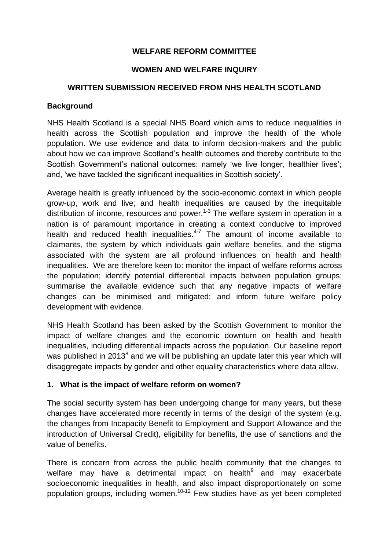### **WELFARE REFORM COMMITTEE**

#### **WOMEN AND WELFARE INQUIRY**

#### **WRITTEN SUBMISSION RECEIVED FROM NHS HEALTH SCOTLAND**

#### **Background**

NHS Health Scotland is a special NHS Board which aims to reduce inequalities in health across the Scottish population and improve the health of the whole population. We use evidence and data to inform decision-makers and the public about how we can improve Scotland's health outcomes and thereby contribute to the Scottish Government's national outcomes: namely 'we live longer, healthier lives'; and, 'we have tackled the significant inequalities in Scottish society'.

Average health is greatly influenced by the socio-economic context in which people grow-up, work and live; and health inequalities are caused by the inequitable distribution of income, resources and power.<sup>1-3</sup> The welfare system in operation in a nation is of paramount importance in creating a context conducive to improved health and reduced health inequalities.<sup>4-7</sup> The amount of income available to claimants, the system by which individuals gain welfare benefits, and the stigma associated with the system are all profound influences on health and health inequalities. We are therefore keen to: monitor the impact of welfare reforms across the population; identify potential differential impacts between population groups; summarise the available evidence such that any negative impacts of welfare changes can be minimised and mitigated; and inform future welfare policy development with evidence.

NHS Health Scotland has been asked by the Scottish Government to monitor the impact of welfare changes and the economic downturn on health and health inequalities, including differential impacts across the population. Our baseline report was published in 2013 $^8$  and we will be publishing an update later this year which will disaggregate impacts by gender and other equality characteristics where data allow.

### **1. What is the impact of welfare reform on women?**

The social security system has been undergoing change for many years, but these changes have accelerated more recently in terms of the design of the system (e.g. the changes from Incapacity Benefit to Employment and Support Allowance and the introduction of Universal Credit), eligibility for benefits, the use of sanctions and the value of benefits.

There is concern from across the public health community that the changes to welfare may have a detrimental impact on health<sup>9</sup> and may exacerbate socioeconomic inequalities in health, and also impact disproportionately on some population groups, including women.10-12 Few studies have as yet been completed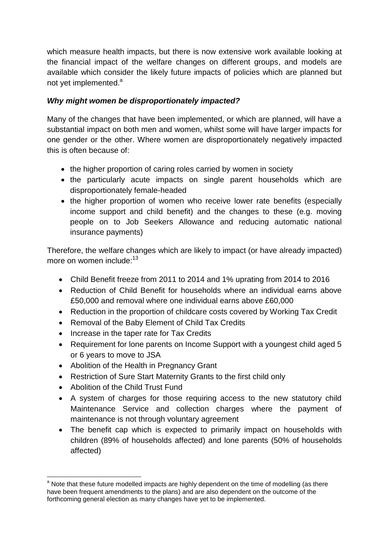which measure health impacts, but there is now extensive work available looking at the financial impact of the welfare changes on different groups, and models are available which consider the likely future impacts of policies which are planned but not yet implemented.<sup>a</sup>

# *Why might women be disproportionately impacted?*

Many of the changes that have been implemented, or which are planned, will have a substantial impact on both men and women, whilst some will have larger impacts for one gender or the other. Where women are disproportionately negatively impacted this is often because of:

- the higher proportion of caring roles carried by women in society
- the particularly acute impacts on single parent households which are disproportionately female-headed
- the higher proportion of women who receive lower rate benefits (especially income support and child benefit) and the changes to these (e.g. moving people on to Job Seekers Allowance and reducing automatic national insurance payments)

Therefore, the welfare changes which are likely to impact (or have already impacted) more on women include:<sup>13</sup>

- <span id="page-1-0"></span>Child Benefit freeze from 2011 to 2014 and 1% uprating from 2014 to 2016
- Reduction of Child Benefit for households where an individual earns above £50,000 and removal where one individual earns above £60,000
- Reduction in the proportion of childcare costs covered by Working Tax Credit
- Removal of the Baby Element of Child Tax Credits
- Increase in the taper rate for Tax Credits
- Requirement for lone parents on Income Support with a youngest child aged 5 or 6 years to move to JSA
- Abolition of the Health in Pregnancy Grant
- Restriction of Sure Start Maternity Grants to the first child only
- Abolition of the Child Trust Fund
- A system of charges for those requiring access to the new statutory child Maintenance Service and collection charges where the payment of maintenance is not through voluntary agreement
- The benefit cap which is expected to primarily impact on households with children (89% of households affected) and lone parents (50% of households affected)

<sup>1</sup> <sup>a</sup> Note that these future modelled impacts are highly dependent on the time of modelling (as there have been frequent amendments to the plans) and are also dependent on the outcome of the forthcoming general election as many changes have yet to be implemented.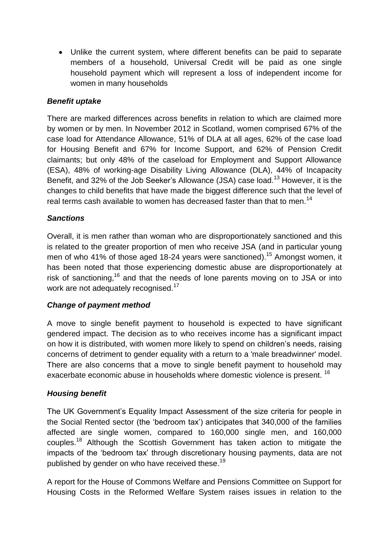Unlike the current system, where different benefits can be paid to separate members of a household, Universal Credit will be paid as one single household payment which will represent a loss of independent income for women in many households

## *Benefit uptake*

There are marked differences across benefits in relation to which are claimed more by women or by men. In November 2012 in Scotland, women comprised 67% of the case load for Attendance Allowance, 51% of DLA at all ages, 62% of the case load for Housing Benefit and 67% for Income Support, and 62% of Pension Credit claimants; but only 48% of the caseload for Employment and Support Allowance (ESA), 48% of working-age Disability Living Allowance (DLA), 44% of Incapacity Benefit, and 32% of the Job Seeker's Allowance (JSA) case load.<sup>[13](#page-1-0)</sup> However, it is the changes to child benefits that have made the biggest difference such that the level of real terms cash available to women has decreased faster than that to men.<sup>14</sup>

## *Sanctions*

Overall, it is men rather than woman who are disproportionately sanctioned and this is related to the greater proportion of men who receive JSA (and in particular young men of who 41% of those aged 18-24 years were sanctioned).<sup>15</sup> Amongst women, it has been noted that those experiencing domestic abuse are disproportionately at risk of sanctioning,<sup>16</sup> and that the needs of lone parents moving on to JSA or into work are not adequately recognised.<sup>17</sup>

### <span id="page-2-0"></span>*Change of payment method*

A move to single benefit payment to household is expected to have significant gendered impact. The decision as to who receives income has a significant impact on how it is distributed, with women more likely to spend on children's needs, raising concerns of detriment to gender equality with a return to a 'male breadwinner' model. There are also concerns that a move to single benefit payment to household may exacerbate economic abuse in households where domestic violence is present. <sup>[16](#page-2-0)</sup>

### *Housing benefit*

The UK Government's Equality Impact Assessment of the size criteria for people in the Social Rented sector (the 'bedroom tax') anticipates that 340,000 of the families affected are single women, compared to 160,000 single men, and 160,000 couples.<sup>18</sup> Although the Scottish Government has taken action to mitigate the impacts of the 'bedroom tax' through discretionary housing payments, data are not published by gender on who have received these.<sup>19</sup>

A report for the House of Commons Welfare and Pensions Committee on Support for Housing Costs in the Reformed Welfare System raises issues in relation to the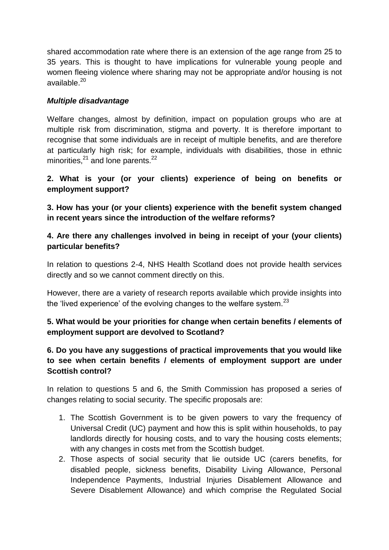shared accommodation rate where there is an extension of the age range from 25 to 35 years. This is thought to have implications for vulnerable young people and women fleeing violence where sharing may not be appropriate and/or housing is not available. 20

## *Multiple disadvantage*

Welfare changes, almost by definition, impact on population groups who are at multiple risk from discrimination, stigma and poverty. It is therefore important to recognise that some individuals are in receipt of multiple benefits, and are therefore at particularly high risk; for example, individuals with disabilities, those in ethnic minorities, $^{21}$  and lone parents. $^{22}$ 

## **2. What is your (or your clients) experience of being on benefits or employment support?**

**3. How has your (or your clients) experience with the benefit system changed in recent years since the introduction of the welfare reforms?**

## **4. Are there any challenges involved in being in receipt of your (your clients) particular benefits?**

In relation to questions 2-4, NHS Health Scotland does not provide health services directly and so we cannot comment directly on this.

However, there are a variety of research reports available which provide insights into the 'lived experience' of the evolving changes to the welfare system. $^{23}$ 

# **5. What would be your priorities for change when certain benefits / elements of employment support are devolved to Scotland?**

## **6. Do you have any suggestions of practical improvements that you would like to see when certain benefits / elements of employment support are under Scottish control?**

In relation to questions 5 and 6, the Smith Commission has proposed a series of changes relating to social security. The specific proposals are:

- 1. The Scottish Government is to be given powers to vary the frequency of Universal Credit (UC) payment and how this is split within households, to pay landlords directly for housing costs, and to vary the housing costs elements; with any changes in costs met from the Scottish budget.
- 2. Those aspects of social security that lie outside UC (carers benefits, for disabled people, sickness benefits, Disability Living Allowance, Personal Independence Payments, Industrial Injuries Disablement Allowance and Severe Disablement Allowance) and which comprise the Regulated Social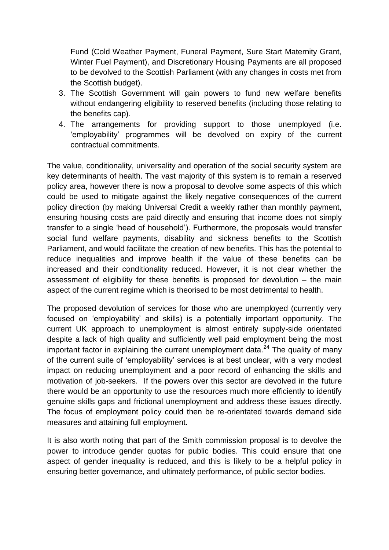Fund (Cold Weather Payment, Funeral Payment, Sure Start Maternity Grant, Winter Fuel Payment), and Discretionary Housing Payments are all proposed to be devolved to the Scottish Parliament (with any changes in costs met from the Scottish budget).

- 3. The Scottish Government will gain powers to fund new welfare benefits without endangering eligibility to reserved benefits (including those relating to the benefits cap).
- 4. The arrangements for providing support to those unemployed (i.e. 'employability' programmes will be devolved on expiry of the current contractual commitments.

The value, conditionality, universality and operation of the social security system are key determinants of health. The vast majority of this system is to remain a reserved policy area, however there is now a proposal to devolve some aspects of this which could be used to mitigate against the likely negative consequences of the current policy direction (by making Universal Credit a weekly rather than monthly payment, ensuring housing costs are paid directly and ensuring that income does not simply transfer to a single 'head of household'). Furthermore, the proposals would transfer social fund welfare payments, disability and sickness benefits to the Scottish Parliament, and would facilitate the creation of new benefits. This has the potential to reduce inequalities and improve health if the value of these benefits can be increased and their conditionality reduced. However, it is not clear whether the assessment of eligibility for these benefits is proposed for devolution – the main aspect of the current regime which is theorised to be most detrimental to health.

The proposed devolution of services for those who are unemployed (currently very focused on 'employability' and skills) is a potentially important opportunity. The current UK approach to unemployment is almost entirely supply-side orientated despite a lack of high quality and sufficiently well paid employment being the most important factor in explaining the current unemployment data. $^{24}$  The quality of many of the current suite of 'employability' services is at best unclear, with a very modest impact on reducing unemployment and a poor record of enhancing the skills and motivation of job-seekers. If the powers over this sector are devolved in the future there would be an opportunity to use the resources much more efficiently to identify genuine skills gaps and frictional unemployment and address these issues directly. The focus of employment policy could then be re-orientated towards demand side measures and attaining full employment.

It is also worth noting that part of the Smith commission proposal is to devolve the power to introduce gender quotas for public bodies. This could ensure that one aspect of gender inequality is reduced, and this is likely to be a helpful policy in ensuring better governance, and ultimately performance, of public sector bodies.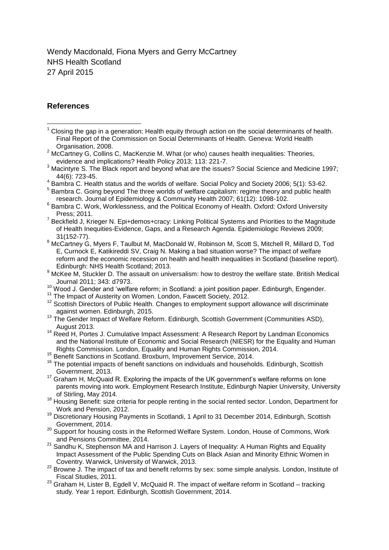Wendy Macdonald, Fiona Myers and Gerry McCartney NHS Health Scotland 27 April 2015

#### **References**

1

 $2$  McCartney G, Collins C, MacKenzie M. What (or who) causes health inequalities: Theories, evidence and implications? Health Policy 2013; 113: 221-7.

- <sup>4</sup> Bambra C. Health status and the worlds of welfare. Social Policy and Society 2006; 5(1): 53-62.
- <sup>5</sup> Bambra C. Going beyond The three worlds of welfare capitalism: regime theory and public health research. Journal of Epidemiology & Community Health 2007; 61(12): 1098-102.
- <sup>6</sup> Bambra C. Work, Worklessness, and the Political Economy of Health. Oxford: Oxford University Press; 2011.
- <sup>7</sup> Beckfield J, Krieger N. Epi+demos+cracy: Linking Political Systems and Priorities to the Magnitude of Health Inequities-Evidence, Gaps, and a Research Agenda. Epidemiologic Reviews 2009; 31(152-77).
- <sup>8</sup> McCartnev G, Myers F, Taulbut M, MacDonald W, Robinson M, Scott S, Mitchell R, Millard D, Tod E, Curnock E, Katikireddi SV, Craig N. Making a bad situation worse? The impact of welfare reform and the economic recession on health and health inequalities in Scotland (baseline report). Edinburgh: NHS Health Scotland; 2013.
- 9 McKee M, Stuckler D. The assault on universalism: how to destroy the welfare state. British Medical Journal 2011; 343: d7973.
- <sup>10</sup> Wood J. Gender and 'welfare reform; in Scotland: a joint position paper. Edinburgh, Engender.
- <sup>11</sup> The Impact of Austerity on Women. London, Fawcett Society, 2012.
- $12$  Scottish Directors of Public Health. Changes to employment support allowance will discriminate against women. Edinburgh, 2015.
- <sup>13</sup> The Gender Impact of Welfare Reform. Edinburgh, Scottish Government (Communities ASD), August 2013.
- <sup>14</sup> Reed H, Portes J. Cumulative Impact Assessment: A Research Report by Landman Economics and the National Institute of Economic and Social Research (NIESR) for the Equality and Human Rights Commission. London, Equality and Human Rights Commission, 2014.
- <sup>15</sup> Benefit Sanctions in Scotland. Broxburn, Improvement Service, 2014.
- $16$  The potential impacts of benefit sanctions on individuals and households. Edinburgh, Scottish Government, 2013.
- <sup>17</sup> Graham H, McQuaid R. Exploring the impacts of the UK government's welfare reforms on lone parents moving into work. Employment Research Institute, Edinburgh Napier University, University of Stirling, May 2014.
- <sup>18</sup> Housing Benefit: size criteria for people renting in the social rented sector. London, Department for Work and Pension, 2012.
- <sup>19</sup> Discretionary Housing Payments in Scotlandi, 1 April to 31 December 2014, Edinburgh, Scottish Government, 2014.
- <sup>20</sup> Support for housing costs in the Reformed Welfare System. London, House of Commons, Work and Pensions Committee, 2014.
- $21$  Sandhu K, Stephenson MA and Harrison J. Layers of Inequality: A Human Rights and Equality Impact Assessment of the Public Spending Cuts on Black Asian and Minority Ethnic Women in Coventry. Warwick, University of Warwick, 2013.
- <sup>22</sup> Browne J. The impact of tax and benefit reforms by sex: some simple analysis. London, Institute of Fiscal Studies, 2011.
- <sup>23</sup> Graham H, Lister B, Egdell V, McQuaid R. The impact of welfare reform in Scotland tracking study. Year 1 report. Edinburgh, Scottish Government, 2014.

Closing the gap in a generation: Health equity through action on the social determinants of health. Final Report of the Commission on Social Determinants of Health. Geneva: World Health Organisation, 2008.

<sup>&</sup>lt;sup>3</sup> Macintyre S. The Black report and beyond what are the issues? Social Science and Medicine 1997; 44(6): 723-45.